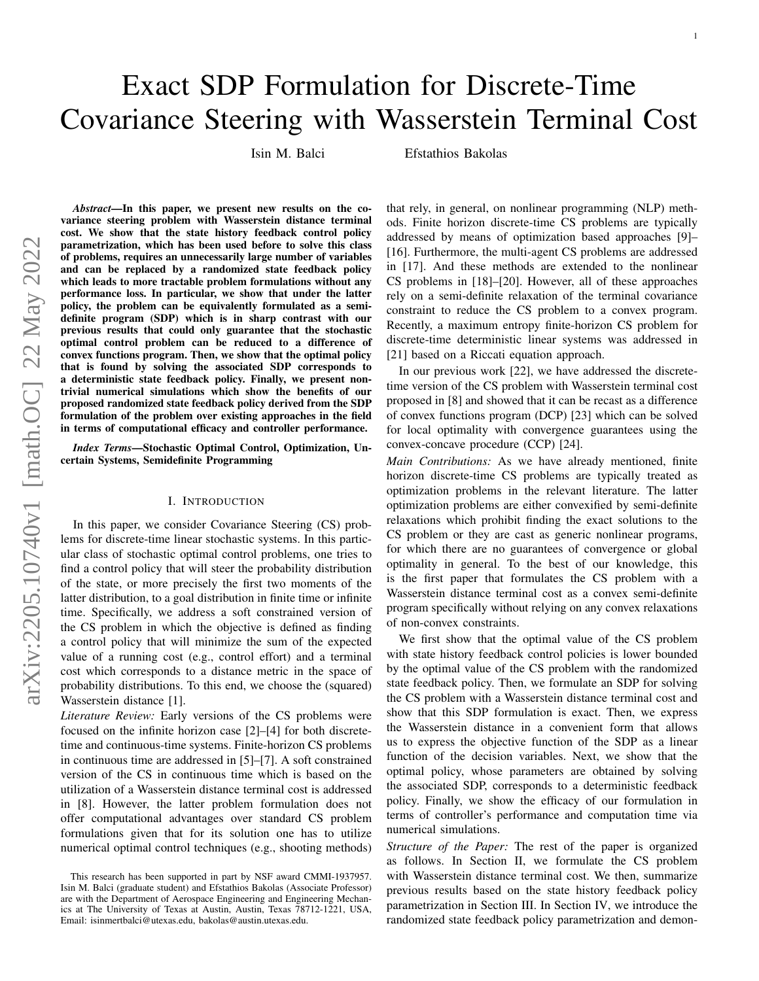# Exact SDP Formulation for Discrete-Time Covariance Steering with Wasserstein Terminal Cost

Isin M. Balci Efstathios Bakolas

*Abstract*—In this paper, we present new results on the covariance steering problem with Wasserstein distance terminal cost. We show that the state history feedback control policy parametrization, which has been used before to solve this class of problems, requires an unnecessarily large number of variables and can be replaced by a randomized state feedback policy which leads to more tractable problem formulations without any performance loss. In particular, we show that under the latter policy, the problem can be equivalently formulated as a semidefinite program (SDP) which is in sharp contrast with our previous results that could only guarantee that the stochastic optimal control problem can be reduced to a difference of convex functions program. Then, we show that the optimal policy that is found by solving the associated SDP corresponds to a deterministic state feedback policy. Finally, we present nontrivial numerical simulations which show the benefits of our proposed randomized state feedback policy derived from the SDP formulation of the problem over existing approaches in the field in terms of computational efficacy and controller performance.

*Index Terms*—Stochastic Optimal Control, Optimization, Uncertain Systems, Semidefinite Programming

## I. INTRODUCTION

In this paper, we consider Covariance Steering (CS) problems for discrete-time linear stochastic systems. In this particular class of stochastic optimal control problems, one tries to find a control policy that will steer the probability distribution of the state, or more precisely the first two moments of the latter distribution, to a goal distribution in finite time or infinite time. Specifically, we address a soft constrained version of the CS problem in which the objective is defined as finding a control policy that will minimize the sum of the expected value of a running cost (e.g., control effort) and a terminal cost which corresponds to a distance metric in the space of probability distributions. To this end, we choose the (squared) Wasserstein distance [1].

*Literature Review:* Early versions of the CS problems were focused on the infinite horizon case [2]–[4] for both discretetime and continuous-time systems. Finite-horizon CS problems in continuous time are addressed in [5]–[7]. A soft constrained version of the CS in continuous time which is based on the utilization of a Wasserstein distance terminal cost is addressed in [8]. However, the latter problem formulation does not offer computational advantages over standard CS problem formulations given that for its solution one has to utilize numerical optimal control techniques (e.g., shooting methods) that rely, in general, on nonlinear programming (NLP) methods. Finite horizon discrete-time CS problems are typically addressed by means of optimization based approaches [9]– [16]. Furthermore, the multi-agent CS problems are addressed in [17]. And these methods are extended to the nonlinear CS problems in [18]–[20]. However, all of these approaches rely on a semi-definite relaxation of the terminal covariance constraint to reduce the CS problem to a convex program. Recently, a maximum entropy finite-horizon CS problem for discrete-time deterministic linear systems was addressed in [21] based on a Riccati equation approach.

In our previous work [22], we have addressed the discretetime version of the CS problem with Wasserstein terminal cost proposed in [8] and showed that it can be recast as a difference of convex functions program (DCP) [23] which can be solved for local optimality with convergence guarantees using the convex-concave procedure (CCP) [24].

*Main Contributions:* As we have already mentioned, finite horizon discrete-time CS problems are typically treated as optimization problems in the relevant literature. The latter optimization problems are either convexified by semi-definite relaxations which prohibit finding the exact solutions to the CS problem or they are cast as generic nonlinear programs, for which there are no guarantees of convergence or global optimality in general. To the best of our knowledge, this is the first paper that formulates the CS problem with a Wasserstein distance terminal cost as a convex semi-definite program specifically without relying on any convex relaxations of non-convex constraints.

We first show that the optimal value of the CS problem with state history feedback control policies is lower bounded by the optimal value of the CS problem with the randomized state feedback policy. Then, we formulate an SDP for solving the CS problem with a Wasserstein distance terminal cost and show that this SDP formulation is exact. Then, we express the Wasserstein distance in a convenient form that allows us to express the objective function of the SDP as a linear function of the decision variables. Next, we show that the optimal policy, whose parameters are obtained by solving the associated SDP, corresponds to a deterministic feedback policy. Finally, we show the efficacy of our formulation in terms of controller's performance and computation time via numerical simulations.

*Structure of the Paper:* The rest of the paper is organized as follows. In Section II, we formulate the CS problem with Wasserstein distance terminal cost. We then, summarize previous results based on the state history feedback policy parametrization in Section III. In Section IV, we introduce the randomized state feedback policy parametrization and demon-

This research has been supported in part by NSF award CMMI-1937957. Isin M. Balci (graduate student) and Efstathios Bakolas (Associate Professor) are with the Department of Aerospace Engineering and Engineering Mechanics at The University of Texas at Austin, Austin, Texas 78712-1221, USA, Email: isinmertbalci@utexas.edu, bakolas@austin.utexas.edu.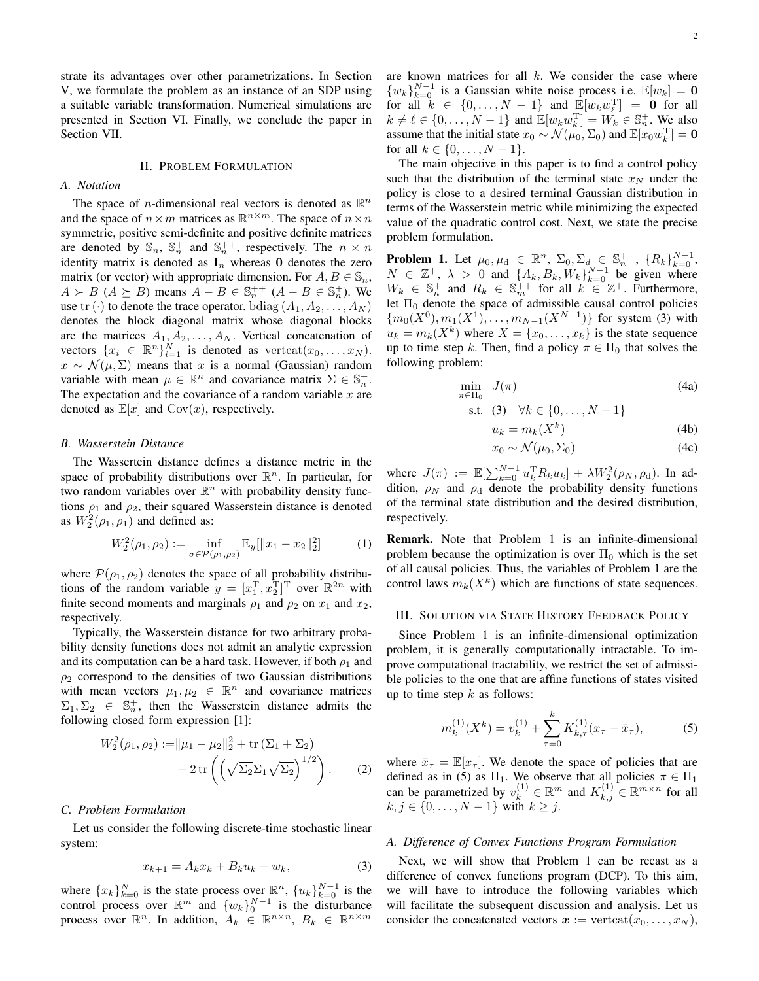strate its advantages over other parametrizations. In Section V, we formulate the problem as an instance of an SDP using a suitable variable transformation. Numerical simulations are presented in Section VI. Finally, we conclude the paper in Section VII.

#### II. PROBLEM FORMULATION

## *A. Notation*

The space of *n*-dimensional real vectors is denoted as  $\mathbb{R}^n$ and the space of  $n \times m$  matrices as  $\mathbb{R}^{n \times m}$ . The space of  $n \times n$ symmetric, positive semi-definite and positive definite matrices are denoted by  $\mathbb{S}_n$ ,  $\mathbb{S}_n^+$  and  $\mathbb{S}_n^{++}$ , respectively. The  $n \times n$ identity matrix is denoted as  $I_n$  whereas 0 denotes the zero matrix (or vector) with appropriate dimension. For  $A, B \in \mathbb{S}_n$ ,  $A \succ B$  ( $A \succeq B$ ) means  $A - B \in \mathbb{S}_n^{++}$  ( $A - B \in \mathbb{S}_n^+$ ). We use tr (·) to denote the trace operator. bdiag  $(A_1, A_2, \ldots, A_N)$ denotes the block diagonal matrix whose diagonal blocks are the matrices  $A_1, A_2, \ldots, A_N$ . Vertical concatenation of vectors  $\{x_i \in \mathbb{R}^n\}_{i=1}^N$  is denoted as vertcat $(x_0, \ldots, x_N)$ .  $x \sim \mathcal{N}(\mu, \Sigma)$  means that x is a normal (Gaussian) random variable with mean  $\mu \in \mathbb{R}^n$  and covariance matrix  $\Sigma \in \mathbb{S}_n^+$ . The expectation and the covariance of a random variable  $x$  are denoted as  $\mathbb{E}[x]$  and  $Cov(x)$ , respectively.

## *B. Wasserstein Distance*

The Wassertein distance defines a distance metric in the space of probability distributions over  $\mathbb{R}^n$ . In particular, for two random variables over  $\mathbb{R}^n$  with probability density functions  $\rho_1$  and  $\rho_2$ , their squared Wasserstein distance is denoted as  $W_2^2(\rho_1, \rho_1)$  and defined as:

$$
W_2^2(\rho_1, \rho_2) := \inf_{\sigma \in \mathcal{P}(\rho_1, \rho_2)} \mathbb{E}_y[\|x_1 - x_2\|_2^2] \tag{1}
$$

where  $\mathcal{P}(\rho_1, \rho_2)$  denotes the space of all probability distributions of the random variable  $y = [x_1^{\mathrm{T}}, x_2^{\mathrm{T}}]^{\mathrm{T}}$  over  $\mathbb{R}^{2n}$  with finite second moments and marginals  $\rho_1$  and  $\rho_2$  on  $x_1$  and  $x_2$ , respectively.

Typically, the Wasserstein distance for two arbitrary probability density functions does not admit an analytic expression and its computation can be a hard task. However, if both  $\rho_1$  and  $\rho_2$  correspond to the densities of two Gaussian distributions with mean vectors  $\mu_1, \mu_2 \in \mathbb{R}^n$  and covariance matrices  $\Sigma_1, \Sigma_2 \in \mathbb{S}_n^+$ , then the Wasserstein distance admits the following closed form expression [1]:

$$
W_2^2(\rho_1, \rho_2) := ||\mu_1 - \mu_2||_2^2 + \text{tr}(\Sigma_1 + \Sigma_2) - 2 \text{tr}\left(\left(\sqrt{\Sigma_2} \Sigma_1 \sqrt{\Sigma_2}\right)^{1/2}\right).
$$
 (2)

#### *C. Problem Formulation*

Let us consider the following discrete-time stochastic linear system:

$$
x_{k+1} = A_k x_k + B_k u_k + w_k, \tag{3}
$$

where  $\{x_k\}_{k=0}^N$  is the state process over  $\mathbb{R}^n$ ,  $\{u_k\}_{k=0}^{N-1}$  is the control process over  $\mathbb{R}^m$  and  $\{w_k\}_0^{N-1}$  is the disturbance process over  $\mathbb{R}^n$ . In addition,  $A_k \in \mathbb{R}^{n \times n}$ ,  $B_k \in \mathbb{R}^{n \times m}$ 

are known matrices for all  $k$ . We consider the case where  $\{w_k\}_{k=0}^{N-1}$  is a Gaussian white noise process i.e.  $\mathbb{E}[w_k] = \mathbf{0}$ for all  $k \in \{0, ..., N-1\}$  and  $\mathbb{E}[w_k w_k^{\mathrm{T}}] = \begin{bmatrix} 0 & \text{for all} \end{bmatrix}$  $k \neq \ell \in \{0, \ldots, N-1\}$  and  $\mathbb{E}[w_k w_k^{\mathrm{T}}] = W_k \in \mathbb{S}_n^+$ . We also assume that the initial state  $x_0 \sim \mathcal{N}(\mu_0, \Sigma_0)$  and  $\mathbb{E}[x_0 w_k^{\mathrm{T}}] = \mathbf{0}$ for all  $k \in \{0, ..., N-1\}$ .

The main objective in this paper is to find a control policy such that the distribution of the terminal state  $x_N$  under the policy is close to a desired terminal Gaussian distribution in terms of the Wasserstein metric while minimizing the expected value of the quadratic control cost. Next, we state the precise problem formulation.

**Problem 1.** Let  $\mu_0, \mu_d \in \mathbb{R}^n$ ,  $\Sigma_0, \Sigma_d \in \mathbb{S}_n^{++}$ ,  $\{R_k\}_{k=0}^{N-1}$ ,  $N \in \mathbb{Z}^+, \lambda > 0$  and  $\{A_k, B_k, W_k\}_{k=0}^{N-1}$  be given where  $W_k \in \mathbb{S}_n^+$  and  $R_k \in \mathbb{S}_m^+$  for all  $k \in \mathbb{Z}^+$ . Furthermore, let  $\Pi_0$  denote the space of admissible causal control policies  ${m_0(X^0), m_1(X^1), \ldots, m_{N-1}(X^{N-1})}$  for system (3) with  $u_k = m_k(X^k)$  where  $X = \{x_0, \ldots, x_k\}$  is the state sequence up to time step k. Then, find a policy  $\pi \in \Pi_0$  that solves the following problem:

$$
\min_{\pi \in \Pi_0} J(\pi) \tag{4a}
$$

s.t. (3) 
$$
\forall k \in \{0, ..., N-1\}
$$

$$
u_k = m_k(X^k) \tag{4b}
$$

$$
x_0 \sim \mathcal{N}(\mu_0, \Sigma_0) \tag{4c}
$$

where  $J(\pi) := \mathbb{E}[\sum_{k=0}^{N-1} u_k^{\mathrm{T}} R_k u_k] + \lambda W_2^2(\rho_N, \rho_\text{d})$ . In addition,  $\rho_N$  and  $\rho_d$  denote the probability density functions of the terminal state distribution and the desired distribution, respectively.

Remark. Note that Problem 1 is an infinite-dimensional problem because the optimization is over  $\Pi_0$  which is the set of all causal policies. Thus, the variables of Problem 1 are the control laws  $m_k(X^k)$  which are functions of state sequences.

## III. SOLUTION VIA STATE HISTORY FEEDBACK POLICY

Since Problem 1 is an infinite-dimensional optimization problem, it is generally computationally intractable. To improve computational tractability, we restrict the set of admissible policies to the one that are affine functions of states visited up to time step  $k$  as follows:

$$
m_k^{(1)}(X^k) = v_k^{(1)} + \sum_{\tau=0}^k K_{k,\tau}^{(1)}(x_\tau - \bar{x}_\tau),
$$
 (5)

where  $\bar{x}_{\tau} = \mathbb{E}[x_{\tau}]$ . We denote the space of policies that are defined as in (5) as  $\Pi_1$ . We observe that all policies  $\pi \in \Pi_1$ can be parametrized by  $v_k^{(1)} \in \mathbb{R}^m$  and  $K_{k,j}^{(1)} \in \mathbb{R}^{m \times n}$  for all  $k, j \in \{0, ..., N-1\}$  with  $k \geq j$ .

# *A. Difference of Convex Functions Program Formulation*

Next, we will show that Problem 1 can be recast as a difference of convex functions program (DCP). To this aim, we will have to introduce the following variables which will facilitate the subsequent discussion and analysis. Let us consider the concatenated vectors  $x := \text{vertex}(x_0, \ldots, x_N)$ ,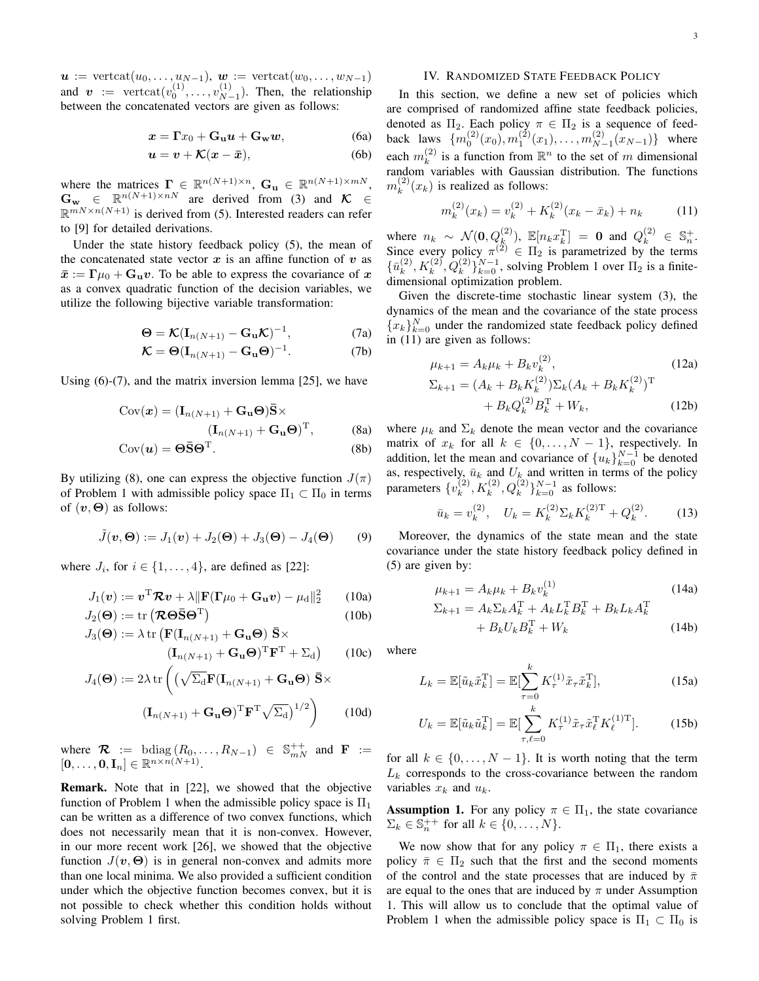$\mathbf{u} := \text{vertex}(u_0, \ldots, u_{N-1}), \mathbf{w} := \text{vertex}(w_0, \ldots, w_{N-1})$ and  $\bm{v} := \text{vertcat}(v_0^{(1)}, \dots, v_{N-1}^{(1)})$  $_{N-1}^{(1)}$ ). Then, the relationship between the concatenated vectors are given as follows:

$$
x = \Gamma x_0 + \mathbf{G}_{\mathbf{u}} u + \mathbf{G}_{\mathbf{w}} w,\tag{6a}
$$

$$
u = v + \mathcal{K}(x - \bar{x}), \tag{6b}
$$

where the matrices  $\mathbf{\Gamma} \in \mathbb{R}^{n(N+1)\times n}$ ,  $\mathbf{G}_{\mathbf{u}} \in \mathbb{R}^{n(N+1)\times m}$ ,  $\mathbf{G}_{\mathbf{w}} \in \mathbb{R}^{n(N+1)\times nN}$  are derived from (3) and  $\mathcal{K} \in$  $\mathbb{R}^{mN \times n(N+1)}$  is derived from (5). Interested readers can refer to [9] for detailed derivations.

Under the state history feedback policy (5), the mean of the concatenated state vector  $x$  is an affine function of  $v$  as  $\bar{x} := \Gamma \mu_0 + \mathbf{G}_{\mathbf{u}} v$ . To be able to express the covariance of x as a convex quadratic function of the decision variables, we utilize the following bijective variable transformation:

$$
\mathbf{\Theta} = \mathcal{K}(\mathbf{I}_{n(N+1)} - \mathbf{G}_{\mathbf{u}} \mathcal{K})^{-1},
$$
 (7a)

$$
\mathcal{K} = \Theta(\mathbf{I}_{n(N+1)} - \mathbf{G}_{\mathbf{u}}\Theta)^{-1}.
$$
 (7b)

Using (6)-(7), and the matrix inversion lemma [25], we have

$$
Cov(\boldsymbol{x}) = (\mathbf{I}_{n(N+1)} + \mathbf{G}_{\mathbf{u}}\boldsymbol{\Theta})\mathbf{\bar{S}} \times
$$

$$
(\mathbf{I}_{n(N+1)} + \mathbf{G}_{\mathbf{u}}\boldsymbol{\Theta})^{\mathrm{T}},
$$
(8a)

$$
Cov(\mathbf{u}) = \mathbf{\Theta}\mathbf{\bar{S}}\mathbf{\Theta}^{\mathrm{T}}.
$$
 (8b)

By utilizing (8), one can express the objective function  $J(\pi)$ of Problem 1 with admissible policy space  $\Pi_1 \subset \Pi_0$  in terms of  $(v, \Theta)$  as follows:

$$
\tilde{J}(\boldsymbol{v},\boldsymbol{\Theta}) := J_1(\boldsymbol{v}) + J_2(\boldsymbol{\Theta}) + J_3(\boldsymbol{\Theta}) - J_4(\boldsymbol{\Theta}) \qquad (9)
$$

where  $J_i$ , for  $i \in \{1, \ldots, 4\}$ , are defined as [22]:

$$
J_1(\mathbf{v}) := \mathbf{v}^{\mathrm{T}} \mathcal{R} \mathbf{v} + \lambda \|\mathbf{F}(\mathbf{\Gamma}\mu_0 + \mathbf{G}_\mathbf{u}\mathbf{v}) - \mu_\mathrm{d}\|_2^2 \qquad (10a)
$$

$$
J_2(\Theta) := \text{tr} \left( \mathcal{R} \Theta \bar{S} \Theta^{\mathrm{T}} \right) \tag{10b}
$$

$$
J_3(\mathbf{\Theta}) := \lambda \operatorname{tr} \left( \mathbf{F}(\mathbf{I}_{n(N+1)} + \mathbf{G}_{\mathbf{u}} \mathbf{\Theta}) \overline{\mathbf{S}} \times (\mathbf{I}_{n(N+1)} + \mathbf{G}_{\mathbf{u}} \mathbf{\Theta})^{\mathrm{T}} \mathbf{F}^{\mathrm{T}} + \Sigma_{\mathrm{d}} \right)
$$
 (10c)

$$
J_4(\mathbf{\Theta}) := 2\lambda \operatorname{tr} \left( \left( \sqrt{\Sigma_{\mathbf{d}}} \mathbf{F} (\mathbf{I}_{n(N+1)} + \mathbf{G}_{\mathbf{u}} \mathbf{\Theta}) \mathbf{\bar{S}} \times \right. \left. \left( \mathbf{I}_{n(N+1)} + \mathbf{G}_{\mathbf{u}} \mathbf{\Theta} \right)^{\mathrm{T}} \mathbf{F}^{\mathrm{T}} \sqrt{\Sigma_{\mathbf{d}}} \right)^{1/2} \right) \tag{10d}
$$

where  $\mathcal{R}$  := bdiag  $(R_0, \ldots, R_{N-1}) \in \mathbb{S}_{mN}^{++}$  and  $\mathbf{F}$  :=  $[\mathbf{0},\ldots,\mathbf{0},\mathbf{I}_n]\in \mathbb{R}^{n\times n(N+1)}.$ 

Remark. Note that in [22], we showed that the objective function of Problem 1 when the admissible policy space is  $\Pi_1$ can be written as a difference of two convex functions, which does not necessarily mean that it is non-convex. However, in our more recent work [26], we showed that the objective function  $J(\mathbf{v}, \mathbf{\Theta})$  is in general non-convex and admits more than one local minima. We also provided a sufficient condition under which the objective function becomes convex, but it is not possible to check whether this condition holds without solving Problem 1 first.

## IV. RANDOMIZED STATE FEEDBACK POLICY

In this section, we define a new set of policies which are comprised of randomized affine state feedback policies, denoted as  $\Pi_2$ . Each policy  $\pi \in \Pi_2$  is a sequence of feedback laws  $\{m_0^{(2)}(x_0), m_1^{(2)}(x_1), \ldots, m_{N-1}^{(2)}\}$  $\binom{(2)}{N-1}(x_{N-1})$ } where each  $m_k^{(2)}$  $\binom{2}{k}$  is a function from  $\mathbb{R}^n$  to the set of m dimensional random variables with Gaussian distribution. The functions  $m_k^{(2)}$  $k^{(2)}(x_k)$  is realized as follows:

$$
m_k^{(2)}(x_k) = v_k^{(2)} + K_k^{(2)}(x_k - \bar{x}_k) + n_k
$$
 (11)

where  $n_k \sim \mathcal{N}(\mathbf{0}, Q_k^{(2)})$ ,  $\mathbb{E}[n_k x_k^{\mathrm{T}}] = \mathbf{0}$  and  $Q_k^{(2)} \in \mathbb{S}_n^+$ . Since every policy  $\pi^{(2)} \in \Pi_2$  is parametrized by the terms  $\{\bar{u}_k^{(2)}\}$  $k_k^{(2)}, K_k^{(2)}, Q_k^{(2)}\}_{k=0}^{N-1}$ , solving Problem 1 over  $\Pi_2$  is a finitedimensional optimization problem.

Given the discrete-time stochastic linear system (3), the dynamics of the mean and the covariance of the state process  ${x_k}_{k=0}^{N}$  under the randomized state feedback policy defined in (11) are given as follows:

$$
\mu_{k+1} = A_k \mu_k + B_k v_k^{(2)}, \tag{12a}
$$

$$
\Sigma_{k+1} = (A_k + B_k K_k^{(2)}) \Sigma_k (A_k + B_k K_k^{(2)})^{\mathrm{T}} + B_k Q_k^{(2)} B_k^{\mathrm{T}} + W_k,
$$
 (12b)

where  $\mu_k$  and  $\Sigma_k$  denote the mean vector and the covariance matrix of  $x_k$  for all  $k \in \{0, ..., N-1\}$ , respectively. In addition, let the mean and covariance of  $\{u_k\}_{k=0}^{N-1}$  be denoted as, respectively,  $\bar{u}_k$  and  $U_k$  and written in terms of the policy parameters  $\{v_k^{(2)}\}$  $\{k^{(2)}, K_k^{(2)}, Q_k^{(2)}\}_{k=0}^{N-1}$  as follows:

$$
\bar{u}_k = v_k^{(2)}, \quad U_k = K_k^{(2)} \Sigma_k K_k^{(2)T} + Q_k^{(2)}.
$$
 (13)

Moreover, the dynamics of the state mean and the state covariance under the state history feedback policy defined in (5) are given by:

$$
\mu_{k+1} = A_k \mu_k + B_k v_k^{(1)} \tag{14a}
$$

$$
\Sigma_{k+1} = A_k \Sigma_k A_k^{\mathrm{T}} + A_k L_k^{\mathrm{T}} B_k^{\mathrm{T}} + B_k L_k A_k^{\mathrm{T}}
$$

$$
+ B_k U_k B_k^{\mathrm{T}} + W_k \tag{14b}
$$

where

$$
L_k = \mathbb{E}[\tilde{u}_k \tilde{x}_k^{\mathrm{T}}] = \mathbb{E}[\sum_{\tau=0}^k K_{\tau}^{(1)} \tilde{x}_{\tau} \tilde{x}_k^{\mathrm{T}}],\tag{15a}
$$

$$
U_k = \mathbb{E}[\tilde{u}_k \tilde{u}_k^{\mathrm{T}}] = \mathbb{E}[\sum_{\tau,\ell=0}^k K_{\tau}^{(1)} \tilde{x}_{\tau} \tilde{x}_{\ell}^{\mathrm{T}} K_{\ell}^{(1)\mathrm{T}}].
$$
 (15b)

for all  $k \in \{0, \ldots, N-1\}$ . It is worth noting that the term  $L_k$  corresponds to the cross-covariance between the random variables  $x_k$  and  $u_k$ .

**Assumption 1.** For any policy  $\pi \in \Pi_1$ , the state covariance  $\Sigma_k \in \mathbb{S}_n^{++}$  for all  $k \in \{0, \ldots, N\}.$ 

We now show that for any policy  $\pi \in \Pi_1$ , there exists a policy  $\bar{\pi} \in \Pi_2$  such that the first and the second moments of the control and the state processes that are induced by  $\bar{\pi}$ are equal to the ones that are induced by  $\pi$  under Assumption 1. This will allow us to conclude that the optimal value of Problem 1 when the admissible policy space is  $\Pi_1 \subset \Pi_0$  is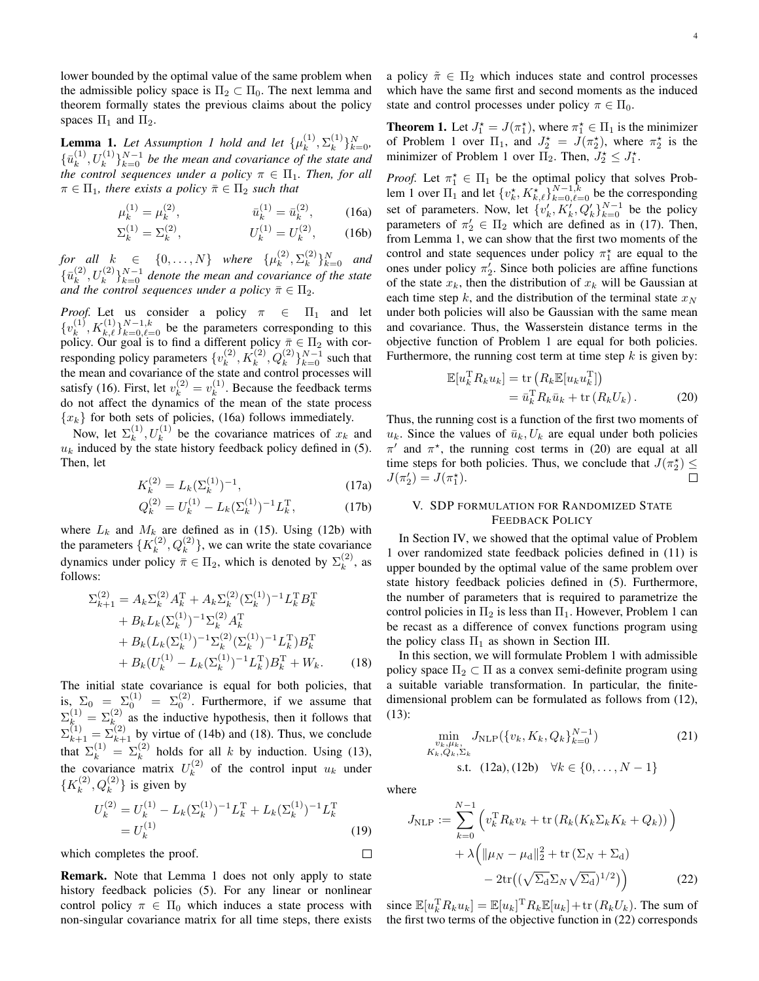lower bounded by the optimal value of the same problem when the admissible policy space is  $\Pi_2 \subset \Pi_0$ . The next lemma and theorem formally states the previous claims about the policy spaces  $\Pi_1$  and  $\Pi_2$ .

**Lemma 1.** Let Assumption 1 hold and let  $\{\mu_k^{(1)}\}$  $_{k}^{(1)},\Sigma_{k}^{(1)}$  ${k \choose k}$  $\}$  $N \n=0$  $\{\bar{u}^{(1)}_k$  $\{k^{(1)}, U_k^{(1)}\}_{k=0}^{N-1}$  be the mean and covariance of the state and *the control sequences under a policy*  $\pi \in \Pi_1$ *. Then, for all*  $\pi \in \Pi_1$ *, there exists a policy*  $\bar{\pi} \in \Pi_2$  *such that* 

$$
\mu_k^{(1)} = \mu_k^{(2)}, \qquad \bar{u}_k^{(1)} = \bar{u}_k^{(2)}, \qquad (16a)
$$

$$
\Sigma_k^{(1)} = \Sigma_k^{(2)}, \qquad U_k^{(1)} = U_k^{(2)}, \qquad (16b)
$$

*for all*  $k \in \{0, \ldots, N\}$  where  $\{\mu_k^{(2)}\}$  $_{k}^{(2)},\Sigma_{k}^{(2)}$  ${k \choose k}$ <sub>k=0</sub> and  $\{\bar{u}^{(2)}_k$  $\{f_k^{(2)}, U_k^{(2)}\}_{k=0}^{N-1}$  denote the mean and covariance of the state *and the control sequences under a policy*  $\bar{\pi} \in \Pi_2$ .

*Proof.* Let us consider a policy  $\pi \in \Pi_1$  and let  $\{v_k^{(1)}\}$  $k_k^{(1)}, K_{k,\ell}^{(1)}\}_{k=0,\ell=0}^{N-1,k}$  be the parameters corresponding to this policy. Our goal is to find a different policy  $\bar{\pi} \in \Pi_2$  with corresponding policy parameters  $\{v_k^{(2)}\}$  $k^{(2)}$ ,  $K_k^{(2)}$ ,  $Q_k^{(2)}$ } $_{k=0}^{N-1}$  such that the mean and covariance of the state and control processes will satisfy (16). First, let  $v_k^{(2)} = v_k^{(1)}$  $k^{(1)}$ . Because the feedback terms do not affect the dynamics of the mean of the state process  ${x_k}$  for both sets of policies, (16a) follows immediately.

Now, let  $\Sigma_k^{(1)}$  $(k^{(1)}, U_k^{(1)}$  be the covariance matrices of  $x_k$  and  $u_k$  induced by the state history feedback policy defined in (5). Then, let

$$
K_k^{(2)} = L_k(\Sigma_k^{(1)})^{-1},\tag{17a}
$$

$$
Q_k^{(2)} = U_k^{(1)} - L_k(\Sigma_k^{(1)})^{-1} L_k^{\mathrm{T}}, \tag{17b}
$$

where  $L_k$  and  $M_k$  are defined as in (15). Using (12b) with the parameters  $\{K_k^{(2)}\}$  $\mathcal{L}_{k}^{(2)}, \mathcal{Q}_{k}^{(2)}\}$ , we can write the state covariance dynamics under policy  $\bar{\pi} \in \Pi_2$ , which is denoted by  $\Sigma_k^{(2)}$  $k^{(2)}$ , as follows:

$$
\Sigma_{k+1}^{(2)} = A_k \Sigma_k^{(2)} A_k^{\mathrm{T}} + A_k \Sigma_k^{(2)} (\Sigma_k^{(1)})^{-1} L_k^{\mathrm{T}} B_k^{\mathrm{T}} \n+ B_k L_k (\Sigma_k^{(1)})^{-1} \Sigma_k^{(2)} A_k^{\mathrm{T}} \n+ B_k (L_k (\Sigma_k^{(1)})^{-1} \Sigma_k^{(2)} (\Sigma_k^{(1)})^{-1} L_k^{\mathrm{T}}) B_k^{\mathrm{T}} \n+ B_k (U_k^{(1)} - L_k (\Sigma_k^{(1)})^{-1} L_k^{\mathrm{T}}) B_k^{\mathrm{T}} + W_k.
$$
\n(18)

The initial state covariance is equal for both policies, that is,  $\Sigma_0 = \Sigma_0^{(1)} = \Sigma_0^{(2)}$ . Furthermore, if we assume that  $\Sigma_{k_{\text{c}}}\left(1\right) = \Sigma_{k_{\text{c}}}\left(2\right)$  as the inductive hypothesis, then it follows that  $\Sigma_{k+1}^{(1)} = \Sigma_{k+1}^{(2)}$  by virtue of (14b) and (18). Thus, we conclude that  $\Sigma_k^{(1)} = \Sigma_k^{(2)}$  holds for all k by induction. Using (13), the covariance matrix  $U_k^{(2)}$  $k^{(2)}$  of the control input  $u_k$  under  $\{K_k^{(2)}\}$  ${k^{(2)}, Q_k^{(2)}}$ } is given by

$$
U_k^{(2)} = U_k^{(1)} - L_k(\Sigma_k^{(1)})^{-1}L_k^{\mathrm{T}} + L_k(\Sigma_k^{(1)})^{-1}L_k^{\mathrm{T}} = U_k^{(1)}
$$
\n(19)

which completes the proof.

Remark. Note that Lemma 1 does not only apply to state history feedback policies (5). For any linear or nonlinear control policy  $\pi \in \Pi_0$  which induces a state process with non-singular covariance matrix for all time steps, there exists a policy  $\tilde{\pi} \in \Pi_2$  which induces state and control processes which have the same first and second moments as the induced state and control processes under policy  $\pi \in \Pi_0$ .

**Theorem 1.** Let  $J_1^* = J(\pi_1^*)$ , where  $\pi_1^* \in \Pi_1$  is the minimizer of Problem 1 over  $\Pi_1$ , and  $J_2^* = J(\pi_2^*)$ , where  $\pi_2^*$  is the minimizer of Problem 1 over  $\Pi_2$ . Then,  $J_2^* \leq J_1^*$ .

*Proof.* Let  $\pi_1^* \in \Pi_1$  be the optimal policy that solves Problem 1 over  $\Pi_1$  and let  $\{v_k^*, K_{k,\ell}^*\}_{k=0,\ell=0}^{N-1,\hat{k}}$  be the corresponding set of parameters. Now, let  $\{v'_k, K'_k, Q'_k\}_{k=0}^{N-1}$  be the policy parameters of  $\pi'_2 \in \Pi_2$  which are defined as in (17). Then, from Lemma 1, we can show that the first two moments of the control and state sequences under policy  $\pi_1^*$  are equal to the ones under policy  $\pi'_2$ . Since both policies are affine functions of the state  $x_k$ , then the distribution of  $x_k$  will be Gaussian at each time step k, and the distribution of the terminal state  $x_N$ under both policies will also be Gaussian with the same mean and covariance. Thus, the Wasserstein distance terms in the objective function of Problem 1 are equal for both policies. Furthermore, the running cost term at time step  $k$  is given by:

$$
\mathbb{E}[u_k^{\mathrm{T}} R_k u_k] = \text{tr}\left(R_k \mathbb{E}[u_k u_k^{\mathrm{T}}]\right)
$$
  
=  $\bar{u}_k^{\mathrm{T}} R_k \bar{u}_k + \text{tr}\left(R_k U_k\right)$ . (20)

Thus, the running cost is a function of the first two moments of  $u_k$ . Since the values of  $\bar{u}_k$ ,  $U_k$  are equal under both policies  $\pi'$  and  $\pi^*$ , the running cost terms in (20) are equal at all time steps for both policies. Thus, we conclude that  $J(\pi_2^{\star}) \leq$  $J(\pi_2')=J(\pi_1^*).$  $\Box$ 

# V. SDP FORMULATION FOR RANDOMIZED STATE FEEDBACK POLICY

In Section IV, we showed that the optimal value of Problem 1 over randomized state feedback policies defined in (11) is upper bounded by the optimal value of the same problem over state history feedback policies defined in (5). Furthermore, the number of parameters that is required to parametrize the control policies in  $\Pi_2$  is less than  $\Pi_1$ . However, Problem 1 can be recast as a difference of convex functions program using the policy class  $\Pi_1$  as shown in Section III.

In this section, we will formulate Problem 1 with admissible policy space  $\Pi_2 \subset \Pi$  as a convex semi-definite program using a suitable variable transformation. In particular, the finitedimensional problem can be formulated as follows from (12), (13):

$$
\min_{\substack{v_k, \mu_k, \ v_k, \Sigma_k}} J_{\text{NLP}}(\{v_k, K_k, Q_k\}_{k=0}^{N-1})
$$
\n
$$
K_k, Q_k, \Sigma_k
$$
\n
$$
\text{s.t.} \quad (12a), (12b) \quad \forall k \in \{0, \dots, N-1\}
$$
\n
$$
(21)
$$

where

 $\Box$ 

$$
J_{\text{NLP}} := \sum_{k=0}^{N-1} \left( v_k^{\text{T}} R_k v_k + \text{tr} \left( R_k (K_k \Sigma_k K_k + Q_k) \right) \right) + \lambda \left( \|\mu_N - \mu_d\|_2^2 + \text{tr} \left( \Sigma_N + \Sigma_d \right) \right) - 2 \text{tr} \left( \left( \sqrt{\Sigma_d} \Sigma_N \sqrt{\Sigma_d} \right)^{1/2} \right) \right)
$$
(22)

since  $\mathbb{E}[u_k^{\mathrm{T}} R_k u_k] = \mathbb{E}[u_k]^{\mathrm{T}} R_k \mathbb{E}[u_k] + \text{tr}(R_k U_k)$ . The sum of the first two terms of the objective function in (22) corresponds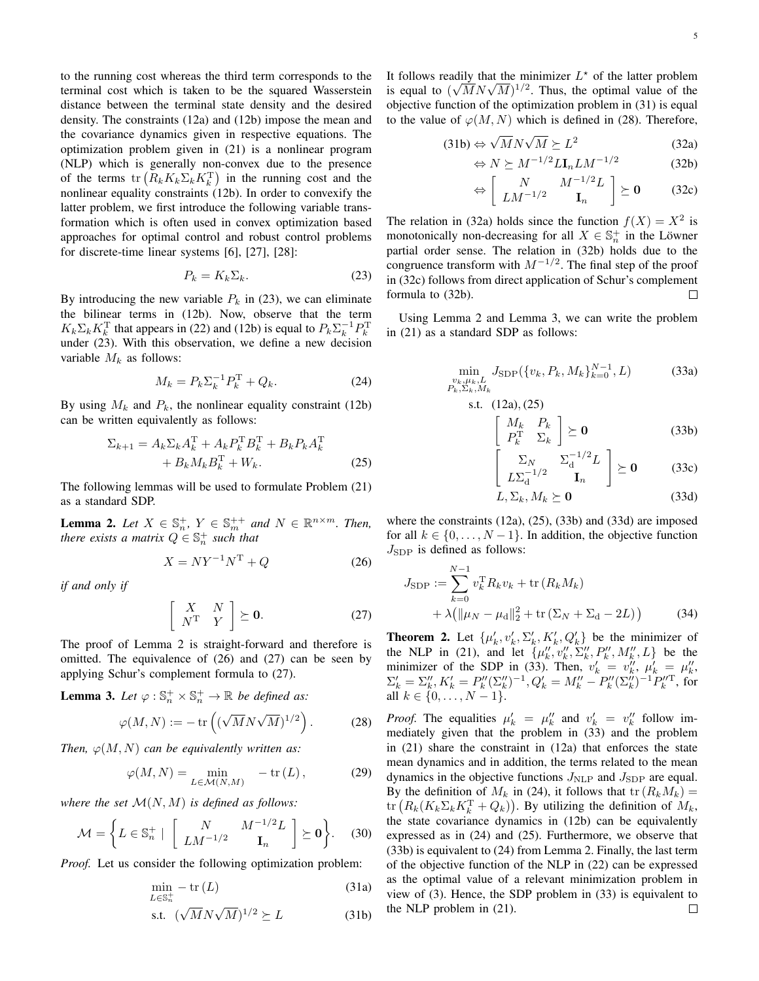to the running cost whereas the third term corresponds to the terminal cost which is taken to be the squared Wasserstein distance between the terminal state density and the desired density. The constraints (12a) and (12b) impose the mean and the covariance dynamics given in respective equations. The optimization problem given in (21) is a nonlinear program (NLP) which is generally non-convex due to the presence of the terms  $\text{tr}\left(R_k K_k \Sigma_k K_k^{\text{T}}\right)$  in the running cost and the nonlinear equality constraints (12b). In order to convexify the latter problem, we first introduce the following variable transformation which is often used in convex optimization based approaches for optimal control and robust control problems for discrete-time linear systems [6], [27], [28]:

$$
P_k = K_k \Sigma_k. \tag{23}
$$

By introducing the new variable  $P_k$  in (23), we can eliminate the bilinear terms in (12b). Now, observe that the term  $K_k \Sigma_k K_k^{\mathrm{T}}$  that appears in (22) and (12b) is equal to  $P_k \Sigma_k^{-1} P_k^{\mathrm{T}}$ under (23). With this observation, we define a new decision variable  $M_k$  as follows:

$$
M_k = P_k \Sigma_k^{-1} P_k^{\rm T} + Q_k. \tag{24}
$$

By using  $M_k$  and  $P_k$ , the nonlinear equality constraint (12b) can be written equivalently as follows:

$$
\Sigma_{k+1} = A_k \Sigma_k A_k^{\mathrm{T}} + A_k P_k^{\mathrm{T}} B_k^{\mathrm{T}} + B_k P_k A_k^{\mathrm{T}} + B_k M_k B_k^{\mathrm{T}} + W_k.
$$
\n(25)

The following lemmas will be used to formulate Problem (21) as a standard SDP.

**Lemma 2.** Let  $X \in \mathbb{S}_n^+$ ,  $Y \in \mathbb{S}_m^{++}$  and  $N \in \mathbb{R}^{n \times m}$ . Then, *there exists a matrix*  $Q \in \mathbb{S}_n^+$  *such that* 

$$
X = NY^{-1}N^{T} + Q \tag{26}
$$

*if and only if*

$$
\left[\begin{array}{cc} X & N \\ N^{\mathrm{T}} & Y \end{array}\right] \succeq \mathbf{0}.\tag{27}
$$

The proof of Lemma 2 is straight-forward and therefore is omitted. The equivalence of (26) and (27) can be seen by applying Schur's complement formula to (27).

**Lemma 3.** Let  $\varphi : \mathbb{S}_n^+ \times \mathbb{S}_n^+ \to \mathbb{R}$  be defined as:

$$
\varphi(M, N) := -\operatorname{tr}\left( (\sqrt{M} N \sqrt{M})^{1/2} \right). \tag{28}
$$

*Then,*  $\varphi(M, N)$  *can be equivalently written as:* 

$$
\varphi(M, N) = \min_{L \in \mathcal{M}(N, M)} -\text{tr}(L),\tag{29}
$$

*where the set*  $\mathcal{M}(N, M)$  *is defined as follows:* 

$$
\mathcal{M} = \left\{ L \in \mathbb{S}_n^+ \mid \begin{bmatrix} N & M^{-1/2}L \\ LM^{-1/2} & \mathbf{I}_n \end{bmatrix} \succeq \mathbf{0} \right\}. \tag{30}
$$

*Proof.* Let us consider the following optimization problem:

$$
\min_{L \in \mathbb{S}_n^+} -\text{tr}(L) \tag{31a}
$$

$$
\text{s.t. } (\sqrt{M}N\sqrt{M})^{1/2} \succeq L \tag{31b}
$$

It follows readily that the minimizer  $L^*$  of the latter problem It follows readily that the minimizer  $L^{\circ}$  of the latter problem<br>is equal to  $(\sqrt{M}N\sqrt{M})^{1/2}$ . Thus, the optimal value of the objective function of the optimization problem in (31) is equal to the value of  $\varphi(M, N)$  which is defined in (28). Therefore,

$$
(31b) \Leftrightarrow \sqrt{M}N\sqrt{M} \succeq L^2 \tag{32a}
$$

$$
\Leftrightarrow N \succeq M^{-1/2} L \mathbf{I}_n L M^{-1/2} \tag{32b}
$$

$$
\Leftrightarrow \left[ \begin{array}{cc} N & M^{-1/2}L \\ LM^{-1/2} & \mathbf{I}_n \end{array} \right] \succeq \mathbf{0} \qquad (32c)
$$

The relation in (32a) holds since the function  $f(X) = X^2$  is monotonically non-decreasing for all  $X \in \mathbb{S}_n^+$  in the Löwner partial order sense. The relation in (32b) holds due to the congruence transform with  $M^{-1/2}$ . The final step of the proof in (32c) follows from direct application of Schur's complement formula to (32b).  $\Box$ 

Using Lemma 2 and Lemma 3, we can write the problem in (21) as a standard SDP as follows:

s.t.

$$
\min_{\substack{v_k, \mu_k, L \\ P_k, \Sigma_k, M_k}} J_{\text{SDP}}(\{v_k, P_k, M_k\}_{k=0}^{N-1}, L) \tag{33a}
$$

$$
(12a), (25)
$$
  

$$
\begin{bmatrix} M_k & P_k \end{bmatrix}
$$

$$
\left[\begin{array}{cc} M_k & P_k \\ P_k^{\mathrm{T}} & \Sigma_k \end{array}\right] \succeq \mathbf{0} \tag{33b}
$$

$$
\left[\begin{array}{cc} \Sigma_N & \Sigma_d^{-1/2} L \\ L\Sigma_d^{-1/2} & \mathbf{I}_n \end{array}\right] \succeq \mathbf{0} \tag{33c}
$$

$$
L, \Sigma_k, M_k \succeq \mathbf{0} \tag{33d}
$$

where the constraints (12a), (25), (33b) and (33d) are imposed for all  $k \in \{0, \ldots, N-1\}$ . In addition, the objective function  $J_{SDP}$  is defined as follows:

$$
J_{\text{SDP}} := \sum_{k=0}^{N-1} v_k^{\text{T}} R_k v_k + \text{tr}(R_k M_k)
$$
  
+  $\lambda (||\mu_N - \mu_d||_2^2 + \text{tr}(\Sigma_N + \Sigma_d - 2L))$  (34)

**Theorem 2.** Let  $\{\mu'_k, v'_k, \Sigma'_k, K'_k, Q'_k\}$  be the minimizer of **EXECUTE:**  $\{ \mu_k^k, v_k^k, \Sigma_k^k, \mathbf{R}_k^k, \mathbf{Q}_k^k \}$  be the infinitized of the NLP in (21), and let  $\{ \mu_k^{\prime\prime}, v_k^{\prime\prime}, \Sigma_k^{\prime\prime}, P_k^{\prime\prime}, M_k^{\prime\prime}, L \}$  be the minimizer of the SDP in (33). Then,  $v'_k = v''_k$ ,  $\mu'_k = \mu''_k$ ,  $\Sigma'_k = \Sigma''_k, K'_k = P''_k(\Sigma''_k)^{-1}, Q'_k = M''_k - P''_k(\Sigma''_k)^{-1}P''_k$ , for all  $k \in \{0, \ldots, N-1\}.$ 

*Proof.* The equalities  $\mu'_k = \mu''_k$  and  $v'_k = v''_k$  follow immediately given that the problem in (33) and the problem in (21) share the constraint in (12a) that enforces the state mean dynamics and in addition, the terms related to the mean dynamics in the objective functions  $J_{\text{NLP}}$  and  $J_{\text{SDP}}$  are equal. By the definition of  $M_k$  in (24), it follows that  $\text{tr}(R_kM_k) =$ tr  $(R_k(K_k\Sigma_k K_k^{\mathrm{T}} + Q_k))$ . By utilizing the definition of  $M_k$ , the state covariance dynamics in (12b) can be equivalently expressed as in (24) and (25). Furthermore, we observe that (33b) is equivalent to (24) from Lemma 2. Finally, the last term of the objective function of the NLP in (22) can be expressed as the optimal value of a relevant minimization problem in view of (3). Hence, the SDP problem in (33) is equivalent to the NLP problem in (21). $\Box$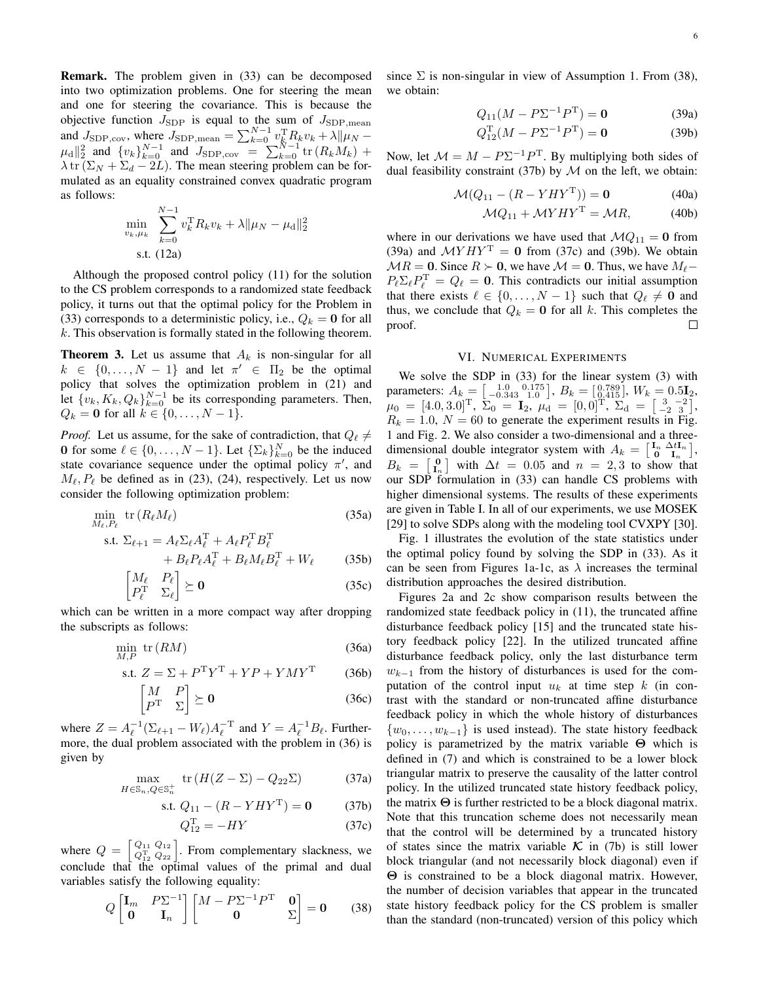Remark. The problem given in (33) can be decomposed into two optimization problems. One for steering the mean and one for steering the covariance. This is because the objective function  $J_{SDP}$  is equal to the sum of  $J_{SDP,mean}$ and  $J_{\text{SDP,cov}}$ , where  $J_{\text{SDP,mean}} = \sum_{k=0}^{N-1} v_k^{\text{T}} R_k v_k + \lambda ||\mu_N \mu_{\rm d} \|_{2}^{2}$  and  $\{v_{k}\}_{k=0}^{N-1}$  and  $J_{\rm SDP, cov} = \sum_{k=0}^{N-1} {\rm tr} (R_{k}M_{k}) +$  $\lambda$  tr  $(\Sigma_N + \Sigma_d - 2L)$ . The mean steering problem can be formulated as an equality constrained convex quadratic program as follows:

$$
\min_{v_k, \mu_k} \sum_{k=0}^{N-1} v_k^{\mathrm{T}} R_k v_k + \lambda ||\mu_N - \mu_d||_2^2
$$
  
s.t. (12a)

Although the proposed control policy (11) for the solution to the CS problem corresponds to a randomized state feedback policy, it turns out that the optimal policy for the Problem in (33) corresponds to a deterministic policy, i.e.,  $Q_k = 0$  for all  $k$ . This observation is formally stated in the following theorem.

**Theorem 3.** Let us assume that  $A_k$  is non-singular for all  $k \in \{0, \ldots, N-1\}$  and let  $\pi' \in \Pi_2$  be the optimal policy that solves the optimization problem in (21) and let  $\{v_k, K_k, Q_k\}_{k=0}^{N-1}$  be its corresponding parameters. Then,  $Q_k = 0$  for all  $k \in \{0, ..., N - 1\}.$ 

*Proof.* Let us assume, for the sake of contradiction, that  $Q_{\ell} \neq$ 0 for some  $\ell \in \{0, \ldots, N-1\}$ . Let  $\{\Sigma_k\}_{k=0}^N$  be the induced state covariance sequence under the optimal policy  $\pi'$ , and  $M_{\ell}$ ,  $P_{\ell}$  be defined as in (23), (24), respectively. Let us now consider the following optimization problem:

$$
\min_{M_{\ell}, P_{\ell}} \text{tr}\left(R_{\ell} M_{\ell}\right) \tag{35a}
$$

s.t. 
$$
\Sigma_{\ell+1} = A_{\ell} \Sigma_{\ell} A_{\ell}^{T} + A_{\ell} P_{\ell}^{T} B_{\ell}^{T}
$$

$$
+ B_{\ell} P_{\ell} A_{\ell}^{T} + B_{\ell} M_{\ell} B_{\ell}^{T} + W_{\ell} \qquad (35b)
$$

$$
\begin{bmatrix} M_{\ell} & P_{\ell} \\ P_{\ell}^{\mathrm{T}} & \Sigma_{\ell} \end{bmatrix} \succeq \mathbf{0} \tag{35c}
$$

which can be written in a more compact way after dropping the subscripts as follows:

$$
\min_{M,P} \text{tr}(RM) \tag{36a}
$$

s.t. 
$$
Z = \Sigma + P^T Y^T + YP + YMY^T
$$
 (36b)

$$
\begin{bmatrix} M & P \\ P^{\mathrm{T}} & \Sigma \end{bmatrix} \succeq \mathbf{0} \tag{36c}
$$

where  $Z = A_{\ell}^{-1} (\Sigma_{\ell+1} - W_{\ell}) A_{\ell}^{-T}$  and  $Y = A_{\ell}^{-1} B_{\ell}$ . Furthermore, the dual problem associated with the problem in (36) is given by

$$
\max_{H \in \mathbb{S}_n, Q \in \mathbb{S}_n^+} \text{tr}\left(H(Z - \Sigma) - Q_{22}\Sigma\right) \tag{37a}
$$

s.t. 
$$
Q_{11} - (R - YHY^T) = 0
$$
 (37b)

$$
Q_{12}^{\mathrm{T}} = -HY \tag{37c}
$$

where  $Q = \begin{bmatrix} Q_{11} & Q_{12} \\ Q_{12}^{\mathrm{T}} & Q_{22} \end{bmatrix}$ . From complementary slackness, we conclude that the optimal values of the primal and dual variables satisfy the following equality:

$$
Q\begin{bmatrix} \mathbf{I}_m & P\Sigma^{-1} \\ \mathbf{0} & \mathbf{I}_n \end{bmatrix} \begin{bmatrix} M - P\Sigma^{-1}P^{\mathrm{T}} & \mathbf{0} \\ \mathbf{0} & \Sigma \end{bmatrix} = \mathbf{0} \qquad (38)
$$

since  $\Sigma$  is non-singular in view of Assumption 1. From (38), we obtain:

$$
Q_{11}(M - P\Sigma^{-1}P^{T}) = 0
$$
 (39a)

$$
Q_{12}^{T}(M - P\Sigma^{-1}P^{T}) = \mathbf{0}
$$
 (39b)

Now, let  $\mathcal{M} = M - P\Sigma^{-1}P^{T}$ . By multiplying both sides of dual feasibility constraint (37b) by  $M$  on the left, we obtain:

$$
\mathcal{M}(Q_{11} - (R - YHY^{\mathrm{T}})) = \mathbf{0}
$$
 (40a)

$$
\mathcal{M}Q_{11} + \mathcal{M}YHY^{\mathrm{T}} = \mathcal{M}R,\tag{40b}
$$

where in our derivations we have used that  $MQ_{11} = 0$  from (39a) and  $MYHY<sup>T</sup> = 0$  from (37c) and (39b). We obtain  $MR = 0$ . Since  $R \succ 0$ , we have  $M = 0$ . Thus, we have  $M_{\ell}$  $P_{\ell} \Sigma_{\ell} P_{\ell}^{\mathrm{T}} = Q_{\ell} = 0$ . This contradicts our initial assumption that there exists  $\ell \in \{0, \ldots, N - 1\}$  such that  $Q_{\ell} \neq \mathbf{0}$  and thus, we conclude that  $Q_k = 0$  for all k. This completes the proof.  $\Box$ 

## VI. NUMERICAL EXPERIMENTS

We solve the SDP in (33) for the linear system (3) with parameters:  $A_k = \begin{bmatrix} 1.0 & 0.175 \\ -0.343 & 1.0 \end{bmatrix}, B_k = \begin{bmatrix} 0.789 \\ 0.415 \end{bmatrix}, W_k = 0.5I_2$ ,  $\mu_0 \, = \, [4.0, 3.0]^\mathrm{T}, \; \Sigma_0 \, = \, \mathbf{I}_2, \; \mu_\mathrm{d} \, = \, [0, 0]^\mathrm{T}, \; \Sigma_\mathrm{d} \, = \, \left[\begin{smallmatrix} 3 & -2\ -2 & 3 \end{smallmatrix}\right],$  $R_k = 1.0$ ,  $N = 60$  to generate the experiment results in Fig. 1 and Fig. 2. We also consider a two-dimensional and a threedimensional double integrator system with  $A_k = \begin{bmatrix} I_n & \Delta t I_n \\ 0 & I_n \end{bmatrix}$ ,  $B_k = \begin{bmatrix} 0 \\ I_n \end{bmatrix}$  with  $\Delta t = 0.05$  and  $n = 2, 3$  to show that our SDP formulation in (33) can handle CS problems with higher dimensional systems. The results of these experiments are given in Table I. In all of our experiments, we use MOSEK [29] to solve SDPs along with the modeling tool CVXPY [30].

Fig. 1 illustrates the evolution of the state statistics under the optimal policy found by solving the SDP in (33). As it can be seen from Figures 1a-1c, as  $\lambda$  increases the terminal distribution approaches the desired distribution.

Figures 2a and 2c show comparison results between the randomized state feedback policy in (11), the truncated affine disturbance feedback policy [15] and the truncated state history feedback policy [22]. In the utilized truncated affine disturbance feedback policy, only the last disturbance term  $w_{k-1}$  from the history of disturbances is used for the computation of the control input  $u_k$  at time step k (in contrast with the standard or non-truncated affine disturbance feedback policy in which the whole history of disturbances  $\{w_0, \ldots, w_{k-1}\}\$  is used instead). The state history feedback policy is parametrized by the matrix variable Θ which is defined in (7) and which is constrained to be a lower block triangular matrix to preserve the causality of the latter control policy. In the utilized truncated state history feedback policy, the matrix  $\Theta$  is further restricted to be a block diagonal matrix. Note that this truncation scheme does not necessarily mean that the control will be determined by a truncated history of states since the matrix variable  $\mathcal K$  in (7b) is still lower block triangular (and not necessarily block diagonal) even if Θ is constrained to be a block diagonal matrix. However, the number of decision variables that appear in the truncated state history feedback policy for the CS problem is smaller than the standard (non-truncated) version of this policy which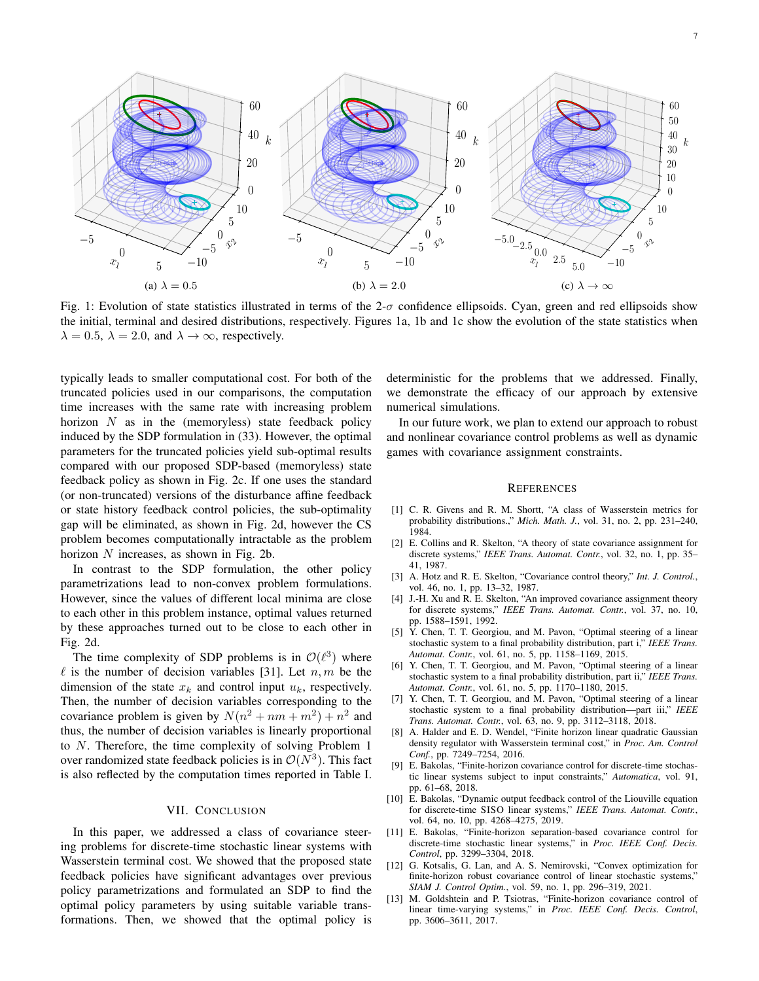

Fig. 1: Evolution of state statistics illustrated in terms of the  $2-\sigma$  confidence ellipsoids. Cyan, green and red ellipsoids show the initial, terminal and desired distributions, respectively. Figures 1a, 1b and 1c show the evolution of the state statistics when  $\lambda = 0.5$ ,  $\lambda = 2.0$ , and  $\lambda \rightarrow \infty$ , respectively.

typically leads to smaller computational cost. For both of the truncated policies used in our comparisons, the computation time increases with the same rate with increasing problem horizon  $N$  as in the (memoryless) state feedback policy induced by the SDP formulation in (33). However, the optimal parameters for the truncated policies yield sub-optimal results compared with our proposed SDP-based (memoryless) state feedback policy as shown in Fig. 2c. If one uses the standard (or non-truncated) versions of the disturbance affine feedback or state history feedback control policies, the sub-optimality gap will be eliminated, as shown in Fig. 2d, however the CS problem becomes computationally intractable as the problem horizon N increases, as shown in Fig. 2b.

In contrast to the SDP formulation, the other policy parametrizations lead to non-convex problem formulations. However, since the values of different local minima are close to each other in this problem instance, optimal values returned by these approaches turned out to be close to each other in Fig. 2d.

The time complexity of SDP problems is in  $\mathcal{O}(\ell^3)$  where  $\ell$  is the number of decision variables [31]. Let  $n, m$  be the dimension of the state  $x_k$  and control input  $u_k$ , respectively. Then, the number of decision variables corresponding to the covariance problem is given by  $N(n^2 + nm + m^2) + n^2$  and thus, the number of decision variables is linearly proportional to N. Therefore, the time complexity of solving Problem 1 over randomized state feedback policies is in  $\mathcal{O}(N^3)$ . This fact is also reflected by the computation times reported in Table I.

## VII. CONCLUSION

In this paper, we addressed a class of covariance steering problems for discrete-time stochastic linear systems with Wasserstein terminal cost. We showed that the proposed state feedback policies have significant advantages over previous policy parametrizations and formulated an SDP to find the optimal policy parameters by using suitable variable transformations. Then, we showed that the optimal policy is

deterministic for the problems that we addressed. Finally, we demonstrate the efficacy of our approach by extensive numerical simulations.

In our future work, we plan to extend our approach to robust and nonlinear covariance control problems as well as dynamic games with covariance assignment constraints.

#### **REFERENCES**

- [1] C. R. Givens and R. M. Shortt, "A class of Wasserstein metrics for probability distributions.," *Mich. Math. J.*, vol. 31, no. 2, pp. 231–240, 1984.
- [2] E. Collins and R. Skelton, "A theory of state covariance assignment for discrete systems," *IEEE Trans. Automat. Contr.*, vol. 32, no. 1, pp. 35– 41, 1987.
- [3] A. Hotz and R. E. Skelton, "Covariance control theory," *Int. J. Control.*, vol. 46, no. 1, pp. 13–32, 1987.
- [4] J.-H. Xu and R. E. Skelton, "An improved covariance assignment theory for discrete systems," *IEEE Trans. Automat. Contr.*, vol. 37, no. 10, pp. 1588–1591, 1992.
- [5] Y. Chen, T. T. Georgiou, and M. Pavon, "Optimal steering of a linear stochastic system to a final probability distribution, part i," *IEEE Trans. Automat. Contr.*, vol. 61, no. 5, pp. 1158–1169, 2015.
- [6] Y. Chen, T. T. Georgiou, and M. Pavon, "Optimal steering of a linear stochastic system to a final probability distribution, part ii," *IEEE Trans. Automat. Contr.*, vol. 61, no. 5, pp. 1170–1180, 2015.
- [7] Y. Chen, T. T. Georgiou, and M. Pavon, "Optimal steering of a linear stochastic system to a final probability distribution—part iii," *IEEE Trans. Automat. Contr.*, vol. 63, no. 9, pp. 3112–3118, 2018.
- [8] A. Halder and E. D. Wendel, "Finite horizon linear quadratic Gaussian density regulator with Wasserstein terminal cost," in *Proc. Am. Control Conf.*, pp. 7249–7254, 2016.
- [9] E. Bakolas, "Finite-horizon covariance control for discrete-time stochastic linear systems subject to input constraints," *Automatica*, vol. 91, pp. 61–68, 2018.
- [10] E. Bakolas, "Dynamic output feedback control of the Liouville equation for discrete-time SISO linear systems," *IEEE Trans. Automat. Contr.*, vol. 64, no. 10, pp. 4268–4275, 2019.
- [11] E. Bakolas, "Finite-horizon separation-based covariance control for discrete-time stochastic linear systems," in *Proc. IEEE Conf. Decis. Control*, pp. 3299–3304, 2018.
- [12] G. Kotsalis, G. Lan, and A. S. Nemirovski, "Convex optimization for finite-horizon robust covariance control of linear stochastic systems," *SIAM J. Control Optim.*, vol. 59, no. 1, pp. 296–319, 2021.
- [13] M. Goldshtein and P. Tsiotras, "Finite-horizon covariance control of linear time-varying systems," in *Proc. IEEE Conf. Decis. Control*, pp. 3606–3611, 2017.